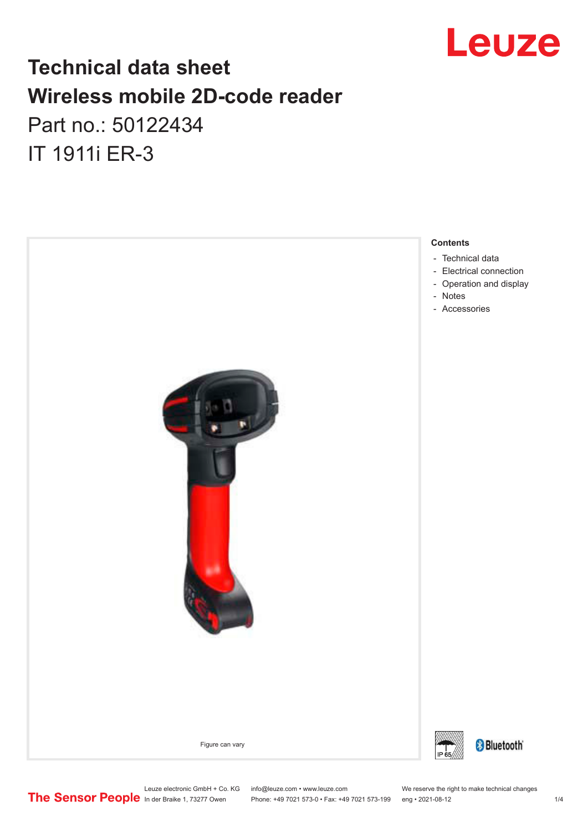

## **Technical data sheet Wireless mobile 2D-code reader**

Part no.: 50122434 IT 1911i ER-3



Leuze electronic GmbH + Co. KG info@leuze.com • www.leuze.com We reserve the right to make technical changes<br>
The Sensor People in der Braike 1, 73277 Owen Phone: +49 7021 573-0 • Fax: +49 7021 573-199 eng • 2021-08-12

Phone: +49 7021 573-0 • Fax: +49 7021 573-199 eng • 2021-08-12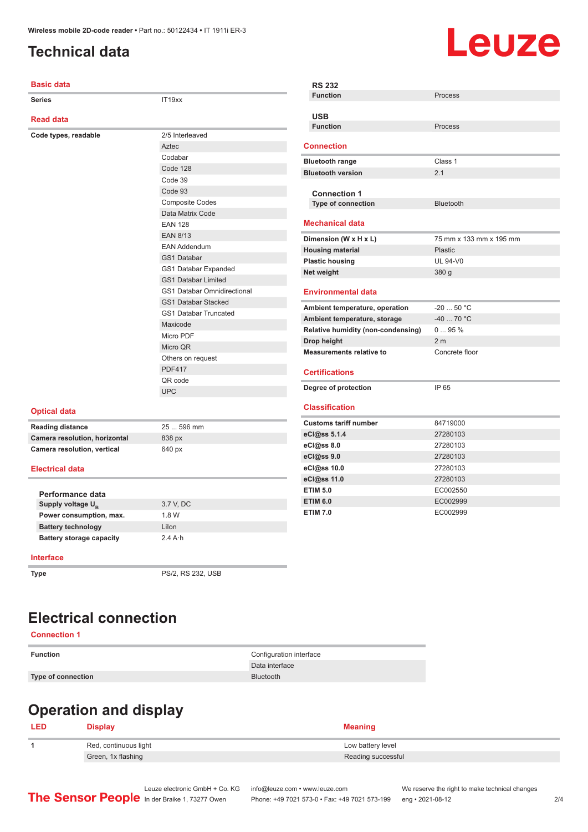### <span id="page-1-0"></span>**Technical data**

# Leuze

| <b>Basic data</b>             |                                    | <b>RS 232</b>                             |                         |
|-------------------------------|------------------------------------|-------------------------------------------|-------------------------|
| <b>Series</b>                 | IT19xx                             | <b>Function</b>                           | Process                 |
| <b>Read data</b>              |                                    | <b>USB</b>                                |                         |
|                               |                                    | <b>Function</b>                           | Process                 |
| Code types, readable          | 2/5 Interleaved                    |                                           |                         |
|                               | Aztec                              | <b>Connection</b>                         |                         |
|                               | Codabar                            | <b>Bluetooth range</b>                    | Class 1                 |
|                               | Code 128                           | <b>Bluetooth version</b>                  | 2.1                     |
|                               | Code 39                            |                                           |                         |
|                               | Code 93                            | <b>Connection 1</b>                       |                         |
|                               | <b>Composite Codes</b>             | Type of connection                        | <b>Bluetooth</b>        |
|                               | Data Matrix Code                   |                                           |                         |
|                               | <b>EAN 128</b>                     | <b>Mechanical data</b>                    |                         |
|                               | <b>EAN 8/13</b>                    | Dimension (W x H x L)                     | 75 mm x 133 mm x 195 mm |
|                               | <b>EAN Addendum</b>                | <b>Housing material</b>                   | <b>Plastic</b>          |
|                               | GS1 Databar                        | <b>Plastic housing</b>                    | <b>UL 94-V0</b>         |
|                               | GS1 Databar Expanded               | Net weight                                | 380 g                   |
|                               | <b>GS1 Databar Limited</b>         |                                           |                         |
|                               | <b>GS1 Databar Omnidirectional</b> | <b>Environmental data</b>                 |                         |
|                               | <b>GS1 Databar Stacked</b>         | Ambient temperature, operation            | $-2050 °C$              |
|                               | GS1 Databar Truncated              | Ambient temperature, storage              | $-4070 °C$              |
|                               | Maxicode                           | <b>Relative humidity (non-condensing)</b> | 095%                    |
|                               | Micro PDF                          | Drop height                               | 2 <sub>m</sub>          |
|                               | Micro QR                           | <b>Measurements relative to</b>           | Concrete floor          |
|                               | Others on request                  |                                           |                         |
|                               | <b>PDF417</b>                      | <b>Certifications</b>                     |                         |
|                               | QR code                            |                                           |                         |
|                               | <b>UPC</b>                         | Degree of protection                      | IP 65                   |
| <b>Optical data</b>           |                                    | <b>Classification</b>                     |                         |
| <b>Reading distance</b>       | 25  596 mm                         | <b>Customs tariff number</b>              | 84719000                |
| Camera resolution, horizontal | 838 px                             | eCl@ss 5.1.4                              | 27280103                |
| Camera resolution, vertical   | 640 px                             | eCl@ss 8.0                                | 27280103                |
|                               |                                    | eCl@ss 9.0                                | 27280103                |
| <b>Electrical data</b>        |                                    | eCl@ss 10.0                               | 27280103                |
|                               |                                    | eCl@ss 11.0                               | 27280103                |
| Performance data              |                                    | <b>ETIM 5.0</b>                           | EC002550                |
| Supply voltage U <sub>R</sub> | 3.7 V, DC                          | <b>ETIM 6.0</b>                           | EC002999                |
| Power consumption, max.       | 1.8 W                              | <b>ETIM 7.0</b>                           | EC002999                |
| <b>Battery technology</b>     | $l$ ilon                           |                                           |                         |

| Performance data                |                   |
|---------------------------------|-------------------|
| Supply voltage U <sub>p</sub>   | 3.7 V. DC         |
| Power consumption, max.         | 1.8 W             |
| <b>Battery technology</b>       | Lilon             |
| <b>Battery storage capacity</b> | $2.4$ A $\cdot$ h |

#### **Interface**

**Type** PS/2, RS 232, USB

#### **Electrical connection**

#### **Connection 1**

**Type of connection** Bluetooth

**Function** Configuration interface Data interface

## **Operation and display**

| <b>LED</b> | $\boldsymbol{\mathsf{Display}}$ | <b>Meaning</b>     |
|------------|---------------------------------|--------------------|
|            | Red, continuous light           | Low battery level  |
|            | Green, 1x flashing              | Reading successful |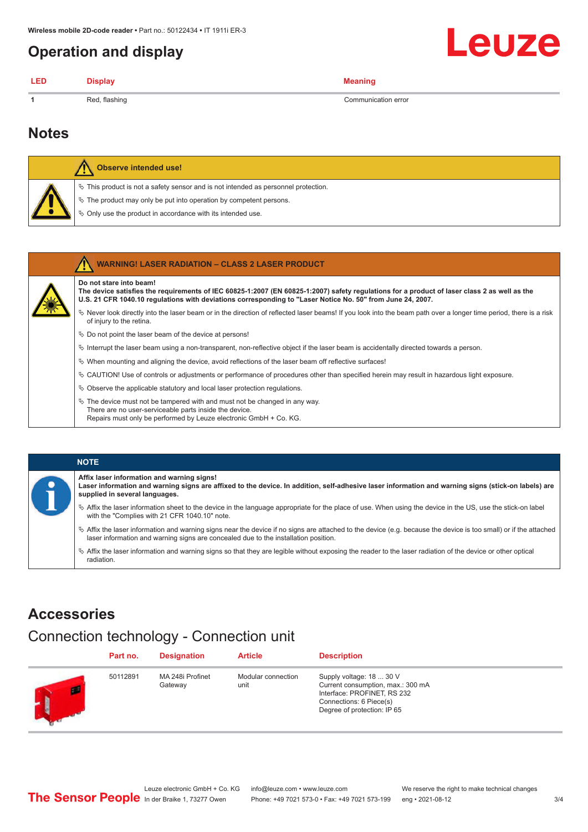#### <span id="page-2-0"></span>**Operation and display**

| <b>LED</b> | Disnlav       | <b>Meaning</b>      |
|------------|---------------|---------------------|
| -1         | Red, flashing | Communication error |

#### **Notes**

|  |  | Observe intended use!                                                                 |
|--|--|---------------------------------------------------------------------------------------|
|  |  | $\%$ This product is not a safety sensor and is not intended as personnel protection. |
|  |  | ↓ The product may only be put into operation by competent persons.                    |
|  |  | $\dot{\phi}$ Only use the product in accordance with its intended use.                |

|  |  | WARNING! LASER RADIATION - CLASS 2 LASER PRODUCT |  |  |
|--|--|--------------------------------------------------|--|--|
|--|--|--------------------------------------------------|--|--|

#### **Do not stare into beam!**

**The device satisfies the requirements of IEC 60825-1:2007 (EN 60825-1:2007) safety regulations for a product of laser class 2 as well as the U.S. 21 CFR 1040.10 regulations with deviations corresponding to "Laser Notice No. 50" from June 24, 2007.**

ª Never look directly into the laser beam or in the direction of reflected laser beams! If you look into the beam path over a longer time period, there is a risk of injury to the retina.

- $\%$  Do not point the laser beam of the device at persons!
- $\%$  Interrupt the laser beam using a non-transparent, non-reflective object if the laser beam is accidentally directed towards a person.
	- ª When mounting and aligning the device, avoid reflections of the laser beam off reflective surfaces!
- ª CAUTION! Use of controls or adjustments or performance of procedures other than specified herein may result in hazardous light exposure.
- $\&$  Observe the applicable statutory and local laser protection regulations.
- $\%$  The device must not be tampered with and must not be changed in any way. There are no user-serviceable parts inside the device. Repairs must only be performed by Leuze electronic GmbH + Co. KG.

| <b>NOTE</b>                                                                                                                                                                                                                                                         |
|---------------------------------------------------------------------------------------------------------------------------------------------------------------------------------------------------------------------------------------------------------------------|
| Affix laser information and warning signs!<br>Laser information and warning signs are affixed to the device. In addition, self-adhesive laser information and warning signs (stick-on labels) are<br>supplied in several languages.                                 |
| the laser information sheet to the device in the language appropriate for the place of use. When using the device in the US, use the stick-on label<br>with the "Complies with 21 CFR 1040.10" note.                                                                |
| $\frac{1}{2}$ Affix the laser information and warning signs near the device if no signs are attached to the device (e.g. because the device is too small) or if the attached<br>laser information and warning signs are concealed due to the installation position. |
|                                                                                                                                                                                                                                                                     |

Affix the laser information and warning signs so that they are legible without exposing the reader to the laser radiation of the device or other optical radiation.

#### **Accessories**

### Connection technology - Connection unit

|    | Part no. | <b>Designation</b>          | <b>Article</b>             | <b>Description</b>                                                                                                                                     |
|----|----------|-----------------------------|----------------------------|--------------------------------------------------------------------------------------------------------------------------------------------------------|
| IJ | 50112891 | MA 248i Profinet<br>Gateway | Modular connection<br>unit | Supply voltage: 18  30 V<br>Current consumption, max.: 300 mA<br>Interface: PROFINET, RS 232<br>Connections: 6 Piece(s)<br>Degree of protection: IP 65 |

Leuze